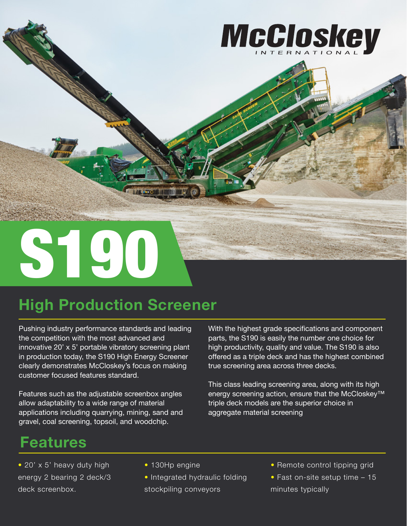

# **High Production Screener**

Pushing industry performance standards and leading the competition with the most advanced and innovative 20' x 5' portable vibratory screening plant in production today, the S190 High Energy Screener clearly demonstrates McCloskey's focus on making customer focused features standard.

Features such as the adjustable screenbox angles allow adaptability to a wide range of material applications including quarrying, mining, sand and gravel, coal screening, topsoil, and woodchip.

With the highest grade specifications and component parts, the S190 is easily the number one choice for high productivity, quality and value. The S190 is also offered as a triple deck and has the highest combined true screening area across three decks.

This class leading screening area, along with its high energy screening action, ensure that the McCloskey™ triple deck models are the superior choice in aggregate material screening

## **Features**

- 20' x 5' heavy duty high energy 2 bearing 2 deck/3 deck screenbox.
- 130Hp engine
- Integrated hydraulic folding
- stockpiling conveyors
- Remote control tipping grid
- Fast on-site setup time 15 minutes typically